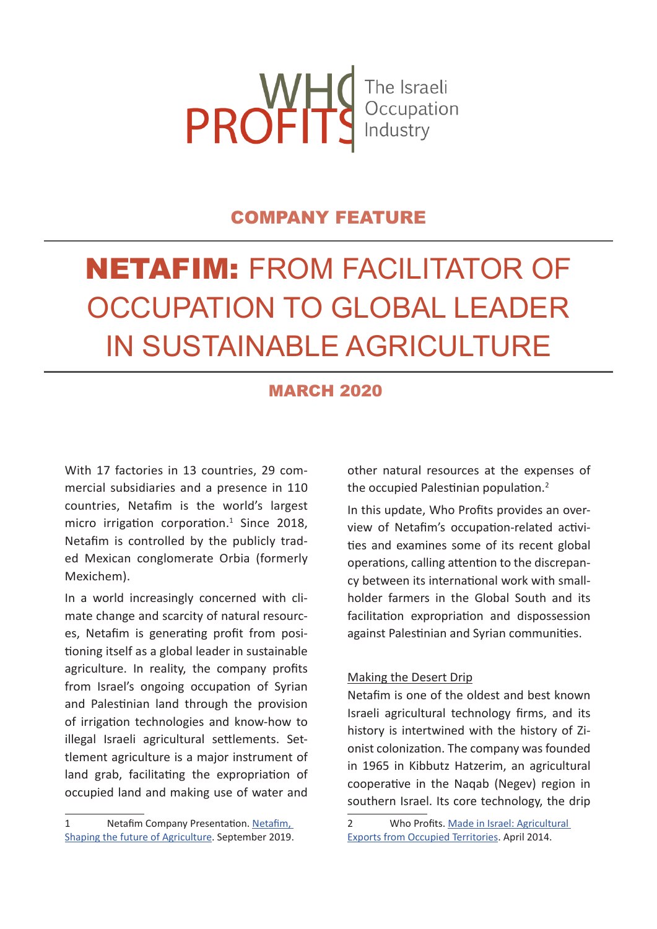

## COMPANY FEATURE

# NETAFIM: FROM FACILITATOR OF OCCUPATION TO GLOBAL LEADER IN SUSTAINABLE AGRICULTURE

## MARCH 2020

With 17 factories in 13 countries, 29 commercial subsidiaries and a presence in 110 countries, Netafim is the world's largest micro irrigation corporation.<sup>1</sup> Since 2018, Netafim is controlled by the publicly traded Mexican conglomerate Orbia (formerly Mexichem).

In a world increasingly concerned with climate change and scarcity of natural resources, Netafim is generating profit from positioning itself as a global leader in sustainable agriculture. In reality, the company profits from Israel's ongoing occupation of Syrian and Palestinian land through the provision of irrigation technologies and know-how to illegal Israeli agricultural settlements. Settlement agriculture is a major instrument of land grab, facilitating the expropriation of occupied land and making use of water and

1 Netafim Company Presentation. Netafim, Shaping the future of Agriculture. September 2019.

other natural resources at the expenses of the occupied Palestinian population.<sup>2</sup>

In this update, Who Profits provides an overview of Netafim's occupation-related activities and examines some of its recent global operations, calling attention to the discrepancy between its international work with smallholder farmers in the Global South and its facilitation expropriation and dispossession against Palestinian and Syrian communities.

#### Making the Desert Drip

Netafim is one of the oldest and best known Israeli agricultural technology firms, and its history is intertwined with the history of Zionist colonization. The company was founded in 1965 in Kibbutz Hatzerim, an agricultural cooperative in the Naqab (Negev) region in southern Israel. Its core technology, the drip

<sup>2</sup> Who Profits. Made in Israel: Agricultural Exports from Occupied Territories. April 2014.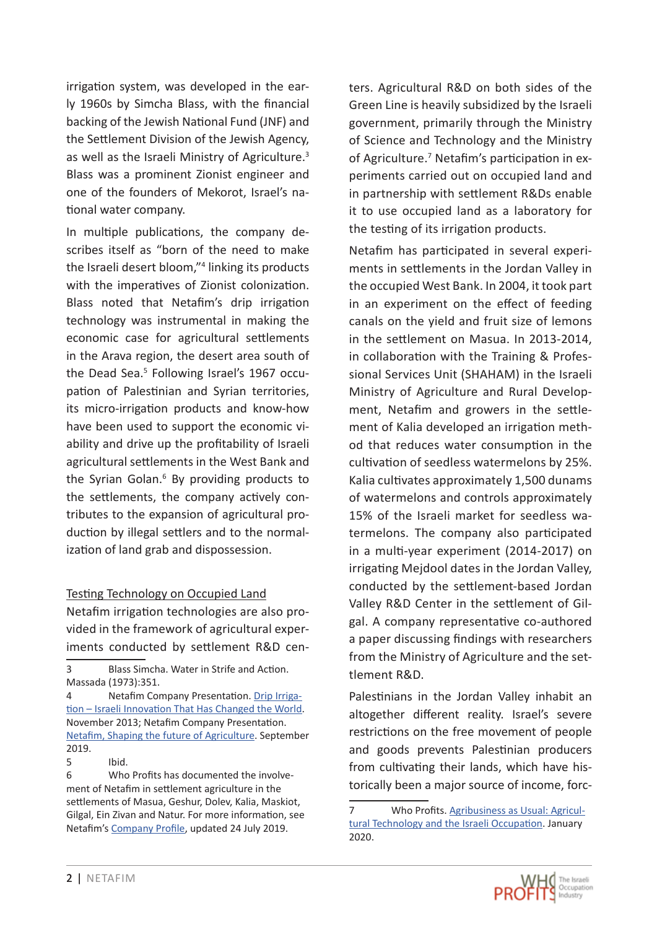irrigation system, was developed in the early 1960s by Simcha Blass, with the financial backing of the Jewish National Fund (JNF) and the Settlement Division of the Jewish Agency, as well as the Israeli Ministry of Agriculture.<sup>3</sup> Blass was a prominent Zionist engineer and one of the founders of Mekorot, Israel's national water company.

In multiple publications, the company describes itself as "born of the need to make the Israeli desert bloom,"4 linking its products with the imperatives of Zionist colonization. Blass noted that Netafim's drip irrigation technology was instrumental in making the economic case for agricultural settlements in the Arava region, the desert area south of the Dead Sea.<sup>5</sup> Following Israel's 1967 occupation of Palestinian and Syrian territories, its micro-irrigation products and know-how have been used to support the economic viability and drive up the profitability of Israeli agricultural settlements in the West Bank and the Syrian Golan.<sup>6</sup> By providing products to the settlements, the company actively contributes to the expansion of agricultural production by illegal settlers and to the normalization of land grab and dispossession.

#### Testing Technology on Occupied Land

Netafim irrigation technologies are also provided in the framework of agricultural experiments conducted by settlement R&D cen-

3 Blass Simcha. Water in Strife and Action. Massada (1973):351.

4 Netafim Company Presentation. Drip Irrigation – Israeli Innovation That Has Changed the World. November 2013; Netafim Company Presentation. Netafim, Shaping the future of Agriculture. September 2019.

6 Who Profits has documented the involvement of Netafim in settlement agriculture in the settlements of Masua, Geshur, Dolev, Kalia, Maskiot, Gilgal, Ein Zivan and Natur. For more information, see Netafim's Company Profile, updated 24 July 2019.

ters. Agricultural R&D on both sides of the Green Line is heavily subsidized by the Israeli government, primarily through the Ministry of Science and Technology and the Ministry of Agriculture.<sup>7</sup> Netafim's participation in experiments carried out on occupied land and in partnership with settlement R&Ds enable it to use occupied land as a laboratory for the testing of its irrigation products.

Netafim has participated in several experiments in settlements in the Jordan Valley in the occupied West Bank. In 2004, it took part in an experiment on the effect of feeding canals on the yield and fruit size of lemons in the settlement on Masua. In 2013-2014, in collaboration with the Training & Professional Services Unit (SHAHAM) in the Israeli Ministry of Agriculture and Rural Development, Netafim and growers in the settlement of Kalia developed an irrigation method that reduces water consumption in the cultivation of seedless watermelons by 25%. Kalia cultivates approximately 1,500 dunams of watermelons and controls approximately 15% of the Israeli market for seedless watermelons. The company also participated in a multi-year experiment (2014-2017) on irrigating Mejdool dates in the Jordan Valley, conducted by the settlement-based Jordan Valley R&D Center in the settlement of Gilgal. A company representative co-authored a paper discussing findings with researchers from the Ministry of Agriculture and the settlement R&D.

Palestinians in the Jordan Valley inhabit an altogether different reality. Israel's severe restrictions on the free movement of people and goods prevents Palestinian producers from cultivating their lands, which have historically been a major source of income, forc-

<sup>5</sup> Ibid.

<sup>7</sup> Who Profits. Agribusiness as Usual: Agricultural Technology and the Israeli Occupation. January 2020.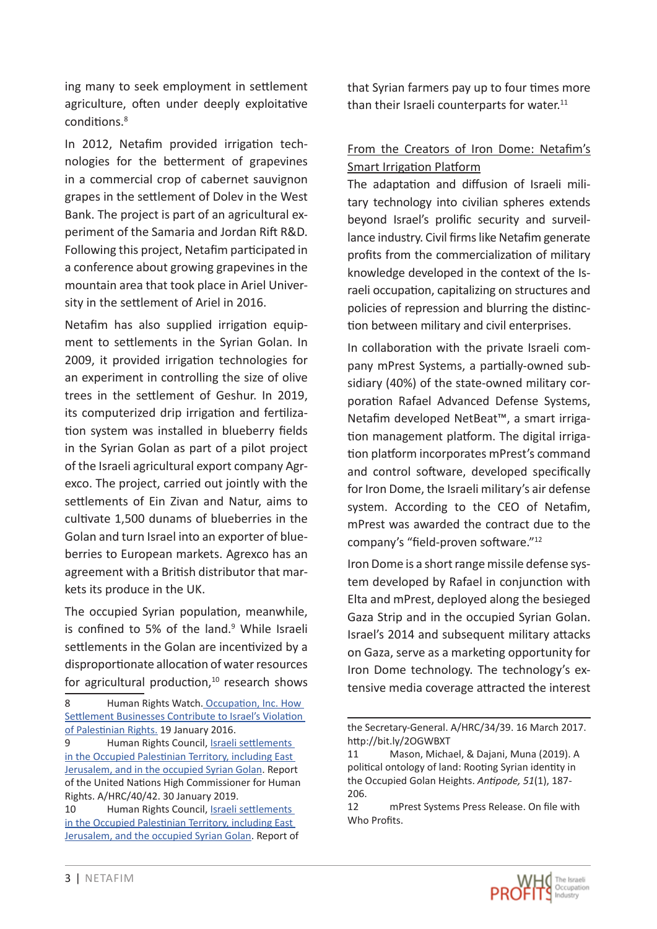ing many to seek employment in settlement agriculture, often under deeply exploitative conditions<sup>8</sup>

In 2012, Netafim provided irrigation technologies for the betterment of grapevines in a commercial crop of cabernet sauvignon grapes in the settlement of Dolev in the West Bank. The project is part of an agricultural experiment of the Samaria and Jordan Rift R&D. Following this project, Netafim participated in a conference about growing grapevines in the mountain area that took place in Ariel University in the settlement of Ariel in 2016.

Netafim has also supplied irrigation equipment to settlements in the Syrian Golan. In 2009, it provided irrigation technologies for an experiment in controlling the size of olive trees in the settlement of Geshur. In 2019, its computerized drip irrigation and fertilization system was installed in blueberry fields in the Syrian Golan as part of a pilot project of the Israeli agricultural export company Agrexco. The project, carried out jointly with the settlements of Ein Zivan and Natur, aims to cultivate 1,500 dunams of blueberries in the Golan and turn Israel into an exporter of blueberries to European markets. Agrexco has an agreement with a British distributor that markets its produce in the UK.

The occupied Syrian population, meanwhile, is confined to 5% of the land.<sup>9</sup> While Israeli settlements in the Golan are incentivized by a disproportionate allocation of water resources for agricultural production, $10$  research shows that Syrian farmers pay up to four times more than their Israeli counterparts for water. $11$ 

## From the Creators of Iron Dome: Netafim's Smart Irrigation Platform

The adaptation and diffusion of Israeli military technology into civilian spheres extends beyond Israel's prolific security and surveillance industry. Civil firms like Netafim generate profits from the commercialization of military knowledge developed in the context of the Israeli occupation, capitalizing on structures and policies of repression and blurring the distinction between military and civil enterprises.

In collaboration with the private Israeli company mPrest Systems, a partially-owned subsidiary (40%) of the state-owned military corporation Rafael Advanced Defense Systems, Netafim developed NetBeat™, a smart irrigation management platform. The digital irrigation platform incorporates mPrest's command and control software, developed specifically for Iron Dome, the Israeli military's air defense system. According to the CEO of Netafim, mPrest was awarded the contract due to the company's "field-proven software."<sup>12</sup>

Iron Dome is a short range missile defense system developed by Rafael in conjunction with Elta and mPrest, deployed along the besieged Gaza Strip and in the occupied Syrian Golan. Israel's 2014 and subsequent military attacks on Gaza, serve as a marketing opportunity for Iron Dome technology. The technology's extensive media coverage attracted the interest

<sup>8</sup> Human Rights Watch. Occupation, Inc. How Settlement Businesses Contribute to Israel's Violation of Palestinian Rights. 19 January 2016.

<sup>9</sup> Human Rights Council, Israeli settlements in the Occupied Palestinian Territory, including East Jerusalem, and in the occupied Syrian Golan. Report of the United Nations High Commissioner for Human Rights. A/HRC/40/42. 30 January 2019.

<sup>10</sup> Human Rights Council, Israeli settlements in the Occupied Palestinian Territory, including East Jerusalem, and the occupied Syrian Golan. Report of

the Secretary-General. A/HRC/34/39. 16 March 2017. http://bit.ly/2OGWBXT

<sup>11</sup> Mason, Michael, & Dajani, Muna (2019). A political ontology of land: Rooting Syrian identity in the Occupied Golan Heights. *Antipode, 51*(1), 187- 206.

<sup>12</sup> mPrest Systems Press Release. On file with Who Profits.